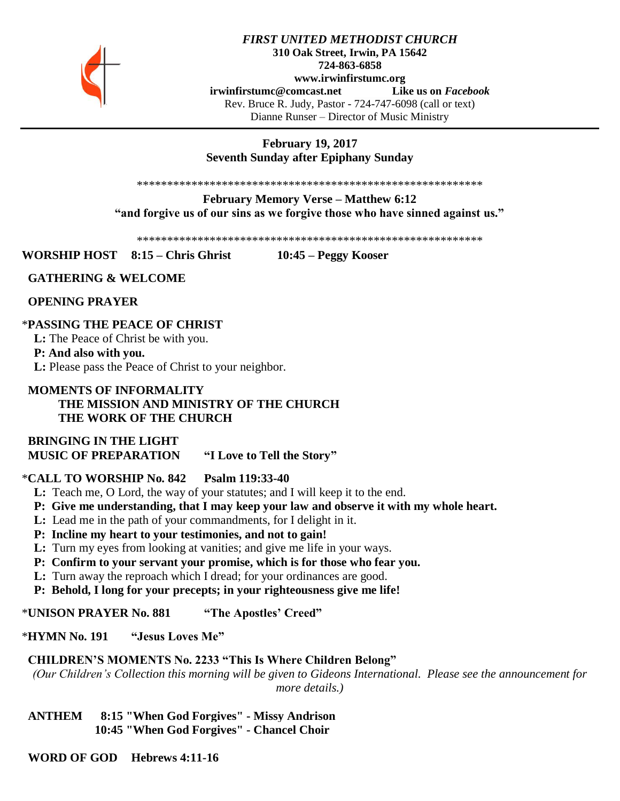

## *FIRST UNITED METHODIST CHURCH* **310 Oak Street, Irwin, PA 15642 724-863-6858 www.irwinfirstumc.org [irwinfirstumc@comcast.net](mailto:irwinfirstumc@comcast.net) Like us on** *Facebook* Rev. Bruce R. Judy, Pastor - 724-747-6098 (call or text) Dianne Runser – Director of Music Ministry

# **February 19, 2017 Seventh Sunday after Epiphany Sunday**

\*\*\*\*\*\*\*\*\*\*\*\*\*\*\*\*\*\*\*\*\*\*\*\*\*\*\*\*\*\*\*\*\*\*\*\*\*\*\*\*\*\*\*\*\*\*\*\*\*\*\*\*\*\*\*\*\*

**February Memory Verse – Matthew 6:12 "and forgive us of our sins as we forgive those who have sinned against us."**

\*\*\*\*\*\*\*\*\*\*\*\*\*\*\*\*\*\*\*\*\*\*\*\*\*\*\*\*\*\*\*\*\*\*\*\*\*\*\*\*\*\*\*\*\*\*\*\*\*\*\*\*\*\*\*\*\*

**WORSHIP HOST 8:15 – Chris Ghrist 10:45 – Peggy Kooser**

## **GATHERING & WELCOME**

 **OPENING PRAYER**

## \***PASSING THE PEACE OF CHRIST**

 **L:** The Peace of Christ be with you.

#### **P: And also with you.**

 **L:** Please pass the Peace of Christ to your neighbor.

## **MOMENTS OF INFORMALITY THE MISSION AND MINISTRY OF THE CHURCH THE WORK OF THE CHURCH**

 **BRINGING IN THE LIGHT MUSIC OF PREPARATION "I Love to Tell the Story"**

## \***CALL TO WORSHIP No. 842 Psalm 119:33-40**

- **L:** Teach me, O Lord, the way of your statutes; and I will keep it to the end.
- **P: Give me understanding, that I may keep your law and observe it with my whole heart.**
- **L:** Lead me in the path of your commandments, for I delight in it.
- **P: Incline my heart to your testimonies, and not to gain!**
- **L:** Turn my eyes from looking at vanities; and give me life in your ways.
- **P: Confirm to your servant your promise, which is for those who fear you.**
- **L:** Turn away the reproach which I dread; for your ordinances are good.
- **P: Behold, I long for your precepts; in your righteousness give me life!**

\***UNISON PRAYER No. 881 "The Apostles' Creed"**

\***HYMN No. 191 "Jesus Loves Me"**

## **CHILDREN'S MOMENTS No. 2233 "This Is Where Children Belong"**

*(Our Children's Collection this morning will be given to Gideons International. Please see the announcement for more details.)*

 **ANTHEM 8:15 "When God Forgives" - Missy Andrison 10:45 "When God Forgives" - Chancel Choir**

 **WORD OF GOD Hebrews 4:11-16**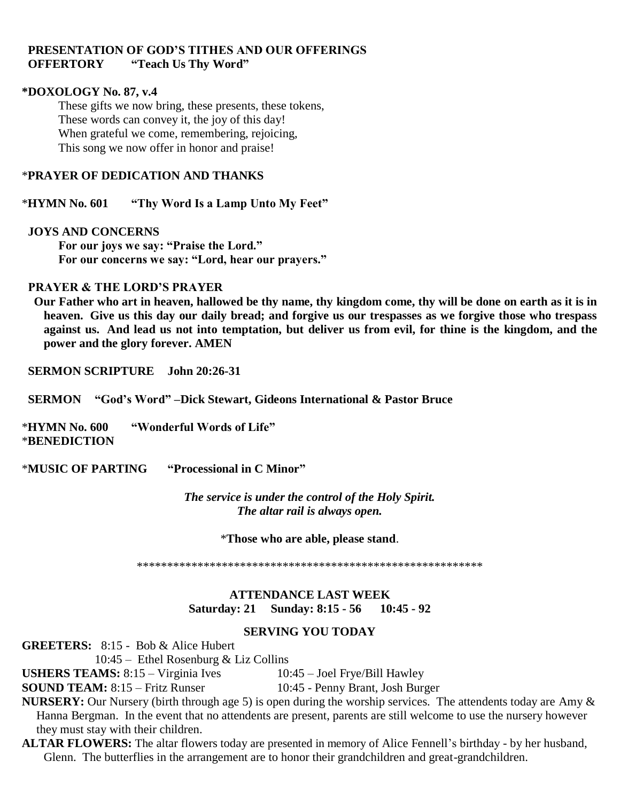# **PRESENTATION OF GOD'S TITHES AND OUR OFFERINGS OFFERTORY "Teach Us Thy Word"**

#### **\*DOXOLOGY No. 87, v.4**

These gifts we now bring, these presents, these tokens, These words can convey it, the joy of this day! When grateful we come, remembering, rejoicing, This song we now offer in honor and praise!

## \***PRAYER OF DEDICATION AND THANKS**

\***HYMN No. 601 "Thy Word Is a Lamp Unto My Feet"**

#### **JOYS AND CONCERNS**

**For our joys we say: "Praise the Lord." For our concerns we say: "Lord, hear our prayers."**

## **PRAYER & THE LORD'S PRAYER**

 **Our Father who art in heaven, hallowed be thy name, thy kingdom come, thy will be done on earth as it is in heaven. Give us this day our daily bread; and forgive us our trespasses as we forgive those who trespass against us. And lead us not into temptation, but deliver us from evil, for thine is the kingdom, and the power and the glory forever. AMEN**

 **SERMON SCRIPTURE John 20:26-31**

 **SERMON "God's Word" –Dick Stewart, Gideons International & Pastor Bruce**

\***HYMN No. 600 "Wonderful Words of Life"** \***BENEDICTION** 

\***MUSIC OF PARTING "Processional in C Minor"**

*The service is under the control of the Holy Spirit. The altar rail is always open.*

\***Those who are able, please stand**.

\*\*\*\*\*\*\*\*\*\*\*\*\*\*\*\*\*\*\*\*\*\*\*\*\*\*\*\*\*\*\*\*\*\*\*\*\*\*\*\*\*\*\*\*\*\*\*\*\*\*\*\*\*\*\*\*\*

## **ATTENDANCE LAST WEEK Saturday: 21 Sunday: 8:15 - 56 10:45 - 92**

# **SERVING YOU TODAY**

**GREETERS:** 8:15 - Bob & Alice Hubert

10:45 – Ethel Rosenburg & Liz Collins

**USHERS TEAMS:** 8:15 – Virginia Ives 10:45 – Joel Frye/Bill Hawley

**SOUND TEAM:** 8:15 – Fritz Runser 10:45 - Penny Brant, Josh Burger

**NURSERY:** Our Nursery (birth through age 5) is open during the worship services. The attendents today are Amy & Hanna Bergman. In the event that no attendents are present, parents are still welcome to use the nursery however they must stay with their children.

**ALTAR FLOWERS:** The altar flowers today are presented in memory of Alice Fennell's birthday - by her husband, Glenn. The butterflies in the arrangement are to honor their grandchildren and great-grandchildren.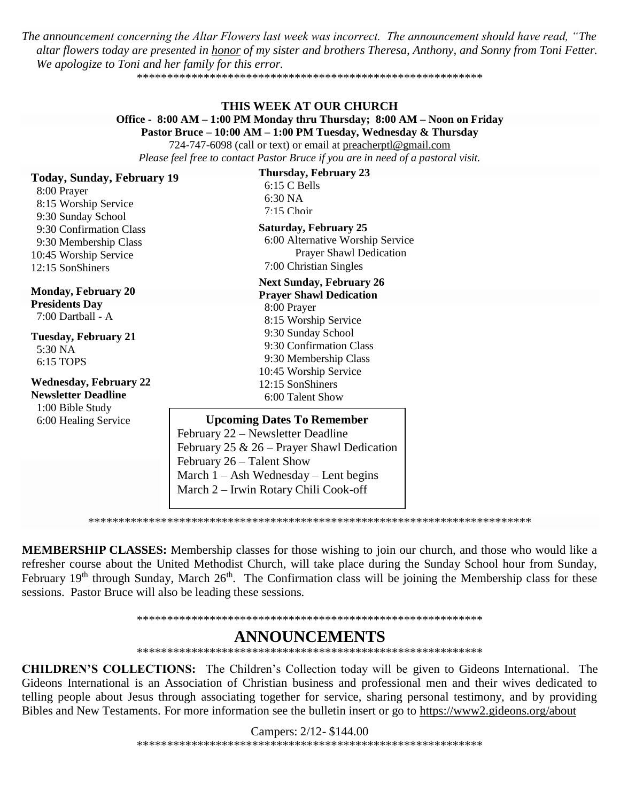The announcement concerning the Altar Flowers last week was incorrect. The announcement should have read, "The altar flowers today are presented in honor of my sister and brothers Theresa, Anthony, and Sonny from Toni Fetter. We apologize to Toni and her family for this error.

#### THIS WEEK AT OUR CHURCH Office - 8:00 AM – 1:00 PM Monday thru Thursday; 8:00 AM – Noon on Friday Pastor Bruce - 10:00 AM - 1:00 PM Tuesday, Wednesday & Thursday 724-747-6098 (call or text) or email at preacherptl@gmail.com

Please feel free to contact Pastor Bruce if you are in need of a pastoral visit.

Today Sunday February 19

**Thursday, February 23** 

| 1000, 90000, 10000, 1000<br>8:00 Prayer<br>8:15 Worship Service<br>9:30 Sunday School<br>9:30 Confirmation Class<br>9:30 Membership Class<br>10:45 Worship Service<br>12:15 SonShiners         | 6:15 C Bells<br>6:30 NA<br>$7.15$ Choir<br><b>Saturday, February 25</b><br>6:00 Alternative Worship Service<br><b>Prayer Shawl Dedication</b><br>7:00 Christian Singles                                                                 |  |
|------------------------------------------------------------------------------------------------------------------------------------------------------------------------------------------------|-----------------------------------------------------------------------------------------------------------------------------------------------------------------------------------------------------------------------------------------|--|
|                                                                                                                                                                                                | <b>Next Sunday, February 26</b>                                                                                                                                                                                                         |  |
| <b>Monday, February 20</b><br><b>Presidents Day</b><br>7:00 Dartball - A<br><b>Tuesday, February 21</b><br>5:30 NA<br>6:15 TOPS<br><b>Wednesday, February 22</b><br><b>Newsletter Deadline</b> | <b>Prayer Shawl Dedication</b><br>8:00 Prayer<br>8:15 Worship Service<br>9:30 Sunday School<br>9:30 Confirmation Class<br>9:30 Membership Class<br>10:45 Worship Service<br>12:15 SonShiners<br>6:00 Talent Show                        |  |
| 1:00 Bible Study<br>6:00 Healing Service                                                                                                                                                       | <b>Upcoming Dates To Remember</b><br>February 22 – Newsletter Deadline<br>February 25 & 26 – Prayer Shawl Dedication<br>February $26$ – Talent Show<br>March $1 - Ash$ Wednesday – Lent begins<br>March 2 – Irwin Rotary Chili Cook-off |  |

MEMBERSHIP CLASSES: Membership classes for those wishing to join our church, and those who would like a refresher course about the United Methodist Church, will take place during the Sunday School hour from Sunday, February 19<sup>th</sup> through Sunday, March 26<sup>th</sup>. The Confirmation class will be joining the Membership class for these sessions. Pastor Bruce will also be leading these sessions.

# **ANNOUNCEMENTS**

**CHILDREN'S COLLECTIONS:** The Children's Collection today will be given to Gideons International. The Gideons International is an Association of Christian business and professional men and their wives dedicated to telling people about Jesus through associating together for service, sharing personal testimony, and by providing Bibles and New Testaments. For more information see the bulletin insert or go to https://www2.gideons.org/about

> Campers: 2/12-\$144.00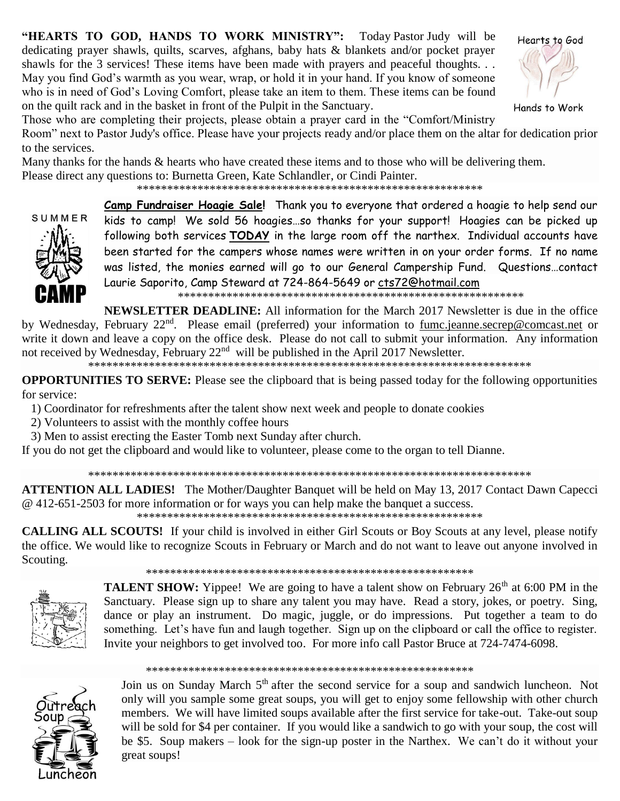"HEARTS TO GOD, HANDS TO WORK MINISTRY": Today Pastor Judy will be dedicating prayer shawls, quilts, scarves, afghans, baby hats & blankets and/or pocket prayer shawls for the 3 services! These items have been made with prayers and peaceful thoughts... May you find God's warmth as you wear, wrap, or hold it in your hand. If you know of someone who is in need of God's Loving Comfort, please take an item to them. These items can be found on the quilt rack and in the basket in front of the Pulpit in the Sanctuary.



Hands to Work

Those who are completing their projects, please obtain a prayer card in the "Comfort/Ministry

Room" next to Pastor Judy's office. Please have your projects ready and/or place them on the altar for dedication prior to the services.

Many thanks for the hands & hearts who have created these items and to those who will be delivering them. Please direct any questions to: Burnetta Green, Kate Schlandler, or Cindi Painter.



Camp Fundraiser Hoagie Sale! Thank you to everyone that ordered a hoagie to help send our kids to camp! We sold 56 hoagies...so thanks for your support! Hoagies can be picked up following both services TODAY in the large room off the narthex. Individual accounts have been started for the campers whose names were written in on your order forms. If no name was listed, the monies earned will go to our General Campership Fund. Questions...contact Laurie Saporito, Camp Steward at 724-864-5649 or cts72@hotmail.com

**NEWSLETTER DEADLINE:** All information for the March 2017 Newsletter is due in the office by Wednesday, February 22<sup>nd</sup>. Please email (preferred) your information to fumc.jeanne.secrep@comcast.net or write it down and leave a copy on the office desk. Please do not call to submit your information. Any information not received by Wednesday, February 22<sup>nd</sup> will be published in the April 2017 Newsletter.

**OPPORTUNITIES TO SERVE:** Please see the clipboard that is being passed today for the following opportunities for service:

1) Coordinator for refreshments after the talent show next week and people to donate cookies

- 2) Volunteers to assist with the monthly coffee hours
- 3) Men to assist erecting the Easter Tomb next Sunday after church.

If you do not get the clipboard and would like to volunteer, please come to the organ to tell Dianne.

**ATTENTION ALL LADIES!** The Mother/Daughter Banquet will be held on May 13, 2017 Contact Dawn Capecci @ 412-651-2503 for more information or for ways you can help make the banquet a success.

**CALLING ALL SCOUTS!** If your child is involved in either Girl Scouts or Boy Scouts at any level, please notify the office. We would like to recognize Scouts in February or March and do not want to leave out anyone involved in Scouting.



**TALENT SHOW:** Yippee! We are going to have a talent show on February 26<sup>th</sup> at 6:00 PM in the Sanctuary. Please sign up to share any talent you may have. Read a story, jokes, or poetry. Sing, dance or play an instrument. Do magic, juggle, or do impressions. Put together a team to do something. Let's have fun and laugh together. Sign up on the clipboard or call the office to register. Invite your neighbors to get involved too. For more info call Pastor Bruce at 724-7474-6098.



Join us on Sunday March 5<sup>th</sup> after the second service for a soup and sandwich luncheon. Not only will you sample some great soups, you will get to enjoy some fellowship with other church members. We will have limited soups available after the first service for take-out. Take-out soup will be sold for \$4 per container. If you would like a sandwich to go with your soup, the cost will be \$5. Soup makers – look for the sign-up poster in the Narthex. We can't do it without your great soups!